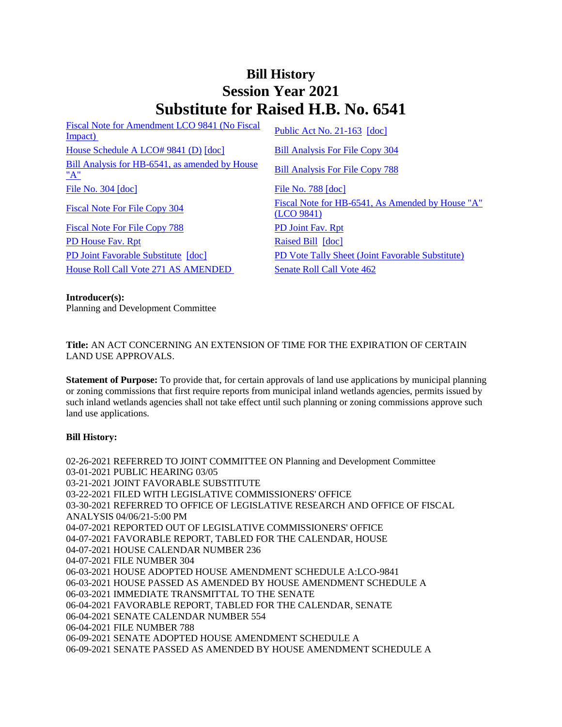# **Bill History Session Year 2021 Substitute for Raised H.B. No. 6541**

[Fiscal Note for Amendment LCO 9841 \(No Fiscal](/2021/fna/pdf/2021HB-06541-R00LCO09841-FNA.pdf)  <u>Fiscal Note for Alliendinent LCO 9841</u> (NO Fiscal [Public Act No. 21-163](/2021/ACT/PA/PDF/2021PA-00163-R00HB-06541-PA.PDF) [\[doc\]](https://search.cga.state.ct.us/dl2021/PA/DOC/2021PA-00163-R00HB-06541-PA.DOCX) [House Schedule A LCO# 9841 \(D\)](/2021/amd/H/pdf/2021HB-06541-R00HA-AMD.pdf) [\[doc\]](https://search.cga.state.ct.us/dl2021/AMd/DOC/2021HB-06541-R00HA-AMD.Docx) [Bill Analysis For File Copy 304](/2021/BA/PDF/2021HB-06541-R000304-BA.PDF) [Bill Analysis for HB-6541, as amended by House](/2021/BA/PDF/2021HB-06541-R01-BA.PDF)   $\frac{\text{Bin} \times \text{Manysis for 11D-0.941}}{\text{Bill Analysis For File Copy 788}}$  $\frac{\text{Bin} \times \text{Manysis for 11D-0.941}}{\text{Bill Analysis For File Copy 788}}$  $\frac{\text{Bin} \times \text{Manysis for 11D-0.941}}{\text{Bill Analysis For File Copy 788}}$ [File No. 304](/2021/FC/PDF/2021HB-06541-R000304-FC.PDF) [\[doc\]](/2021/FC/PDF/2021HB-06541-R000788-FC.PDF) [File No. 788](/2021/FC/PDF/2021HB-06541-R000788-FC.PDF) [doc] [Fiscal Note For File Copy 304](/2021/FN/PDF/2021HB-06541-R000304-FN.PDF) Fiscal Note for HB-6541, As Amended by House "A" [\(LCO 9841\)](/2021/FN/PDF/2021HB-06541-R01-FN.PDF) [Fiscal Note For File Copy 788](/2021/FN/PDF/2021HB-06541-R010788-FN.PDF) [PD Joint Fav. Rpt](/2021/JFR/H/PDF/2021HB-06541-R00PD-JFR.PDF) [PD House Fav. Rpt](/2021/JFR/H/PDF/2021HB-06541-R01PD-JFR.PDF) [Raised Bill](/2021/TOB/H/PDF/2021HB-06541-R00-HB.PDF) [\[doc\]](https://search.cga.state.ct.us/dl2021/TOB/DOC/2021HB-06541-R00-HB.DOCX) [PD Joint Favorable Substitute](/2021/TOB/H/PDF/2021HB-06541-R01-HB.PDF) [\[doc\]](https://search.cga.state.ct.us/dl2021/TOB/DOC/2021HB-06541-R01-HB.DOCX) [PD Vote Tally Sheet \(Joint Favorable Substitute\)](/2021/TS/H/PDF/2021HB-06541-R00PD-CV92-TS.PDF) [House Roll Call Vote 271 AS AMENDED](/2021/VOTE/H/PDF/2021HV-00271-R00HB06541-HV.PDF) [Senate Roll Call Vote 462](/2021/VOTE/S/PDF/2021SV-00462-R00HB06541-SV.PDF) 

#### **Introducer(s):**

Planning and Development Committee

**Title:** AN ACT CONCERNING AN EXTENSION OF TIME FOR THE EXPIRATION OF CERTAIN LAND USE APPROVALS.

**Statement of Purpose:** To provide that, for certain approvals of land use applications by municipal planning or zoning commissions that first require reports from municipal inland wetlands agencies, permits issued by such inland wetlands agencies shall not take effect until such planning or zoning commissions approve such land use applications.

### **Bill History:**

02-26-2021 REFERRED TO JOINT COMMITTEE ON Planning and Development Committee 03-01-2021 PUBLIC HEARING 03/05 03-21-2021 JOINT FAVORABLE SUBSTITUTE 03-22-2021 FILED WITH LEGISLATIVE COMMISSIONERS' OFFICE 03-30-2021 REFERRED TO OFFICE OF LEGISLATIVE RESEARCH AND OFFICE OF FISCAL ANALYSIS 04/06/21-5:00 PM 04-07-2021 REPORTED OUT OF LEGISLATIVE COMMISSIONERS' OFFICE 04-07-2021 FAVORABLE REPORT, TABLED FOR THE CALENDAR, HOUSE 04-07-2021 HOUSE CALENDAR NUMBER 236 04-07-2021 FILE NUMBER 304 06-03-2021 HOUSE ADOPTED HOUSE AMENDMENT SCHEDULE A:LCO-9841 06-03-2021 HOUSE PASSED AS AMENDED BY HOUSE AMENDMENT SCHEDULE A 06-03-2021 IMMEDIATE TRANSMITTAL TO THE SENATE 06-04-2021 FAVORABLE REPORT, TABLED FOR THE CALENDAR, SENATE 06-04-2021 SENATE CALENDAR NUMBER 554 06-04-2021 FILE NUMBER 788 06-09-2021 SENATE ADOPTED HOUSE AMENDMENT SCHEDULE A 06-09-2021 SENATE PASSED AS AMENDED BY HOUSE AMENDMENT SCHEDULE A